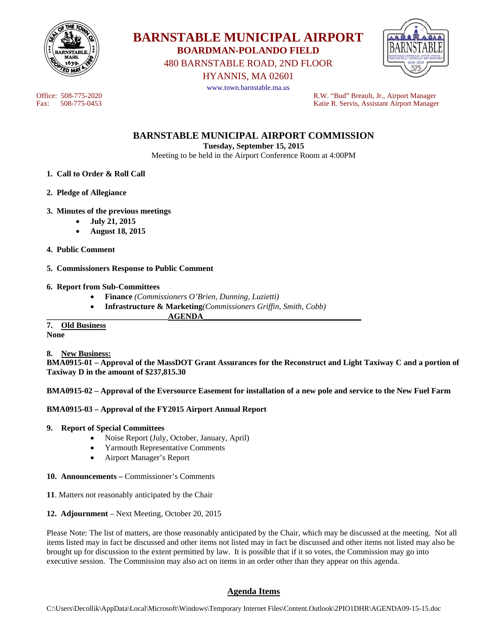



480 BARNSTABLE ROAD, 2ND FLOOR

HYANNIS, MA 02601



www.town.barnstable.ma.us

Office: 508-775-2020<br>
Fax: 508-775-0453<br>
Fax: 508-775-0453<br>
R.W. "Bud" Breault, Jr., Airport Manager Katie R. Servis, Assistant Airport Manager

**BARNSTABLE MUNICIPAL AIRPORT COMMISSION** 

**Tuesday, September 15, 2015** 

Meeting to be held in the Airport Conference Room at 4:00PM

- **1. Call to Order & Roll Call**
- **2. Pledge of Allegiance**
- **3. Minutes of the previous meetings** 
	- **July 21, 2015**
	- **August 18, 2015**
- **4. Public Comment**
- **5. Commissioners Response to Public Comment**

### **6. Report from Sub-Committees**

- **Finance** *(Commissioners O'Brien, Dunning, Luzietti)*
- **Infrastructure & Marketing***(Commissioners Griffin, Smith, Cobb)*
- **\_\_\_\_\_\_\_\_\_\_\_\_\_\_\_\_\_\_\_\_\_\_\_\_\_\_\_\_\_\_AGENDA\_\_\_\_\_\_\_\_\_\_\_\_\_\_\_\_\_\_\_\_\_\_\_\_\_\_\_\_\_\_\_\_\_\_\_\_\_\_\_**

**7. Old Business None** 

**8. New Business:** 

**BMA0915-01 – Approval of the MassDOT Grant Assurances for the Reconstruct and Light Taxiway C and a portion of Taxiway D in the amount of \$237,815.30** 

**BMA0915-02 – Approval of the Eversource Easement for installation of a new pole and service to the New Fuel Farm** 

### **BMA0915-03 – Approval of the FY2015 Airport Annual Report**

- **9. Report of Special Committees** 
	- Noise Report (July, October, January, April)
	- Yarmouth Representative Comments
	- Airport Manager's Report
- **10. Announcements** Commissioner's Comments
- **11**. Matters not reasonably anticipated by the Chair
- **12. Adjournment** Next Meeting, October 20, 2015

Please Note: The list of matters, are those reasonably anticipated by the Chair, which may be discussed at the meeting. Not all items listed may in fact be discussed and other items not listed may in fact be discussed and other items not listed may also be brought up for discussion to the extent permitted by law. It is possible that if it so votes, the Commission may go into executive session. The Commission may also act on items in an order other than they appear on this agenda.

# **Agenda Items**

C:\Users\Decollik\AppData\Local\Microsoft\Windows\Temporary Internet Files\Content.Outlook\2PIO1DHR\AGENDA09-15-15.doc